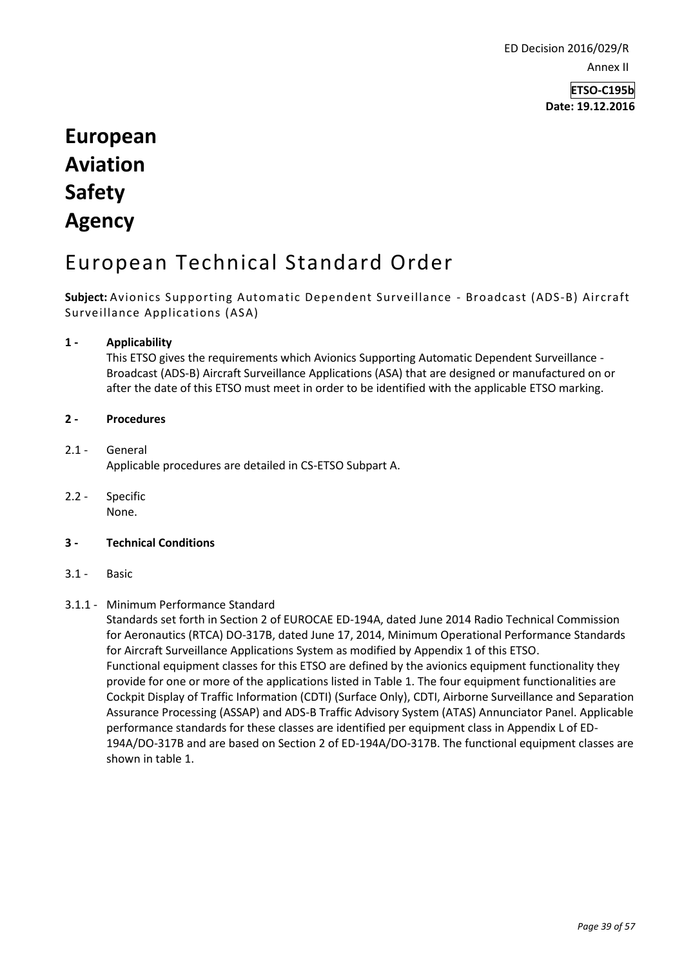ED Decision 2016/029/R Annex II

> **ETSO-C195b Date: 19.12.2016**

# **European Aviation Safety Agency**

## European Technical Standard Order

**Subject:** Avionics Supporting Automatic Dependent Surveillance - Broadcast (ADS-B) Aircraft Surveillance Applications (ASA)

## **1 - Applicability**

This ETSO gives the requirements which Avionics Supporting Automatic Dependent Surveillance - Broadcast (ADS-B) Aircraft Surveillance Applications (ASA) that are designed or manufactured on or after the date of this ETSO must meet in order to be identified with the applicable ETSO marking.

#### **2 - Procedures**

- 2.1 General Applicable procedures are detailed in CS-ETSO Subpart A.
- 2.2 Specific None.

#### **3 - Technical Conditions**

3.1 - Basic

## 3.1.1 - Minimum Performance Standard

Standards set forth in Section 2 of EUROCAE ED-194A, dated June 2014 Radio Technical Commission for Aeronautics (RTCA) DO-317B, dated June 17, 2014, Minimum Operational Performance Standards for Aircraft Surveillance Applications System as modified by Appendix 1 of this ETSO. Functional equipment classes for this ETSO are defined by the avionics equipment functionality they provide for one or more of the applications listed in Table 1. The four equipment functionalities are Cockpit Display of Traffic Information (CDTI) (Surface Only), CDTI, Airborne Surveillance and Separation Assurance Processing (ASSAP) and ADS-B Traffic Advisory System (ATAS) Annunciator Panel. Applicable performance standards for these classes are identified per equipment class in Appendix L of ED-194A/DO-317B and are based on Section 2 of ED-194A/DO-317B. The functional equipment classes are shown in table 1.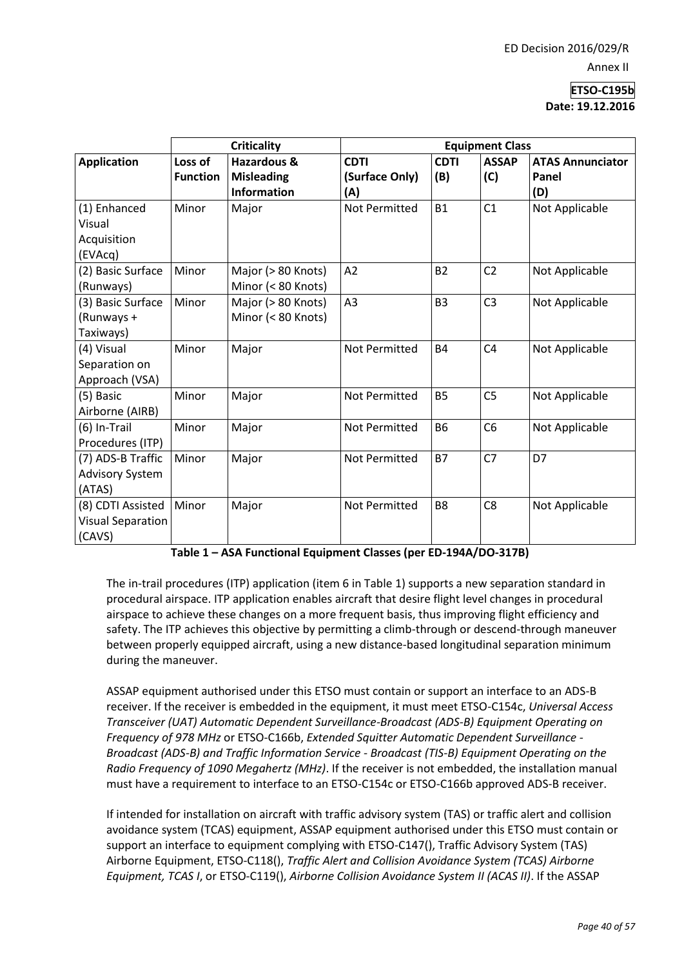|                           | <b>Criticality</b> |                        | <b>Equipment Class</b> |                |                |                         |
|---------------------------|--------------------|------------------------|------------------------|----------------|----------------|-------------------------|
| <b>Application</b>        | Loss of            | <b>Hazardous &amp;</b> | <b>CDTI</b>            | <b>CDTI</b>    | <b>ASSAP</b>   | <b>ATAS Annunciator</b> |
|                           | <b>Function</b>    | <b>Misleading</b>      | (Surface Only)         | (B)            | (C)            | Panel                   |
|                           |                    | <b>Information</b>     | (A)                    |                |                | (D)                     |
| (1) Enhanced              | Minor              | Major                  | <b>Not Permitted</b>   | <b>B1</b>      | C <sub>1</sub> | Not Applicable          |
| Visual                    |                    |                        |                        |                |                |                         |
| Acquisition               |                    |                        |                        |                |                |                         |
| (EVAcq)                   |                    |                        |                        |                |                |                         |
| (2) Basic Surface         | Minor              | Major (> 80 Knots)     | A2                     | <b>B2</b>      | C <sub>2</sub> | Not Applicable          |
| (Runways)                 |                    | Minor (< 80 Knots)     |                        |                |                |                         |
| (3) Basic Surface         | Minor              | Major (> 80 Knots)     | A <sub>3</sub>         | B <sub>3</sub> | C <sub>3</sub> | Not Applicable          |
| (Runways +                |                    | Minor (< 80 Knots)     |                        |                |                |                         |
| Taxiways)                 |                    |                        |                        |                |                |                         |
| (4) Visual                | Minor              | Major                  | <b>Not Permitted</b>   | <b>B4</b>      | C <sub>4</sub> | Not Applicable          |
| Separation on             |                    |                        |                        |                |                |                         |
| Approach (VSA)            |                    |                        |                        |                |                |                         |
| (5) Basic                 | Minor              | Major                  | Not Permitted          | <b>B5</b>      | C <sub>5</sub> | Not Applicable          |
| Airborne (AIRB)           |                    |                        |                        |                |                |                         |
| (6) In-Trail              | Minor              | Major                  | Not Permitted          | <b>B6</b>      | C <sub>6</sub> | Not Applicable          |
| Procedures (ITP)          |                    |                        |                        |                |                |                         |
| (7) ADS-B Traffic         | Minor              | Major                  | Not Permitted          | <b>B7</b>      | C <sub>7</sub> | D7                      |
| <b>Advisory System</b>    |                    |                        |                        |                |                |                         |
| (ATAS)                    |                    |                        |                        |                |                |                         |
| (8) CDTI Assisted   Minor |                    | Major                  | Not Permitted          | B <sub>8</sub> | C <sub>8</sub> | Not Applicable          |
| <b>Visual Separation</b>  |                    |                        |                        |                |                |                         |
| (CAVS)                    |                    |                        |                        |                |                |                         |

**Table 1 – ASA Functional Equipment Classes (per ED-194A/DO-317B)**

The in-trail procedures (ITP) application (item 6 in Table 1) supports a new separation standard in procedural airspace. ITP application enables aircraft that desire flight level changes in procedural airspace to achieve these changes on a more frequent basis, thus improving flight efficiency and safety. The ITP achieves this objective by permitting a climb-through or descend-through maneuver between properly equipped aircraft, using a new distance-based longitudinal separation minimum during the maneuver.

ASSAP equipment authorised under this ETSO must contain or support an interface to an ADS-B receiver. If the receiver is embedded in the equipment, it must meet ETSO-C154c, *Universal Access Transceiver (UAT) Automatic Dependent Surveillance-Broadcast (ADS-B) Equipment Operating on Frequency of 978 MHz* or ETSO-C166b, *Extended Squitter Automatic Dependent Surveillance - Broadcast (ADS-B) and Traffic Information Service - Broadcast (TIS-B) Equipment Operating on the Radio Frequency of 1090 Megahertz (MHz)*. If the receiver is not embedded, the installation manual must have a requirement to interface to an ETSO-C154c or ETSO-C166b approved ADS-B receiver.

If intended for installation on aircraft with traffic advisory system (TAS) or traffic alert and collision avoidance system (TCAS) equipment, ASSAP equipment authorised under this ETSO must contain or support an interface to equipment complying with ETSO-C147(), Traffic Advisory System (TAS) Airborne Equipment, ETSO-C118(), *Traffic Alert and Collision Avoidance System (TCAS) Airborne Equipment, TCAS I*, or ETSO-C119(), *Airborne Collision Avoidance System II (ACAS II)*. If the ASSAP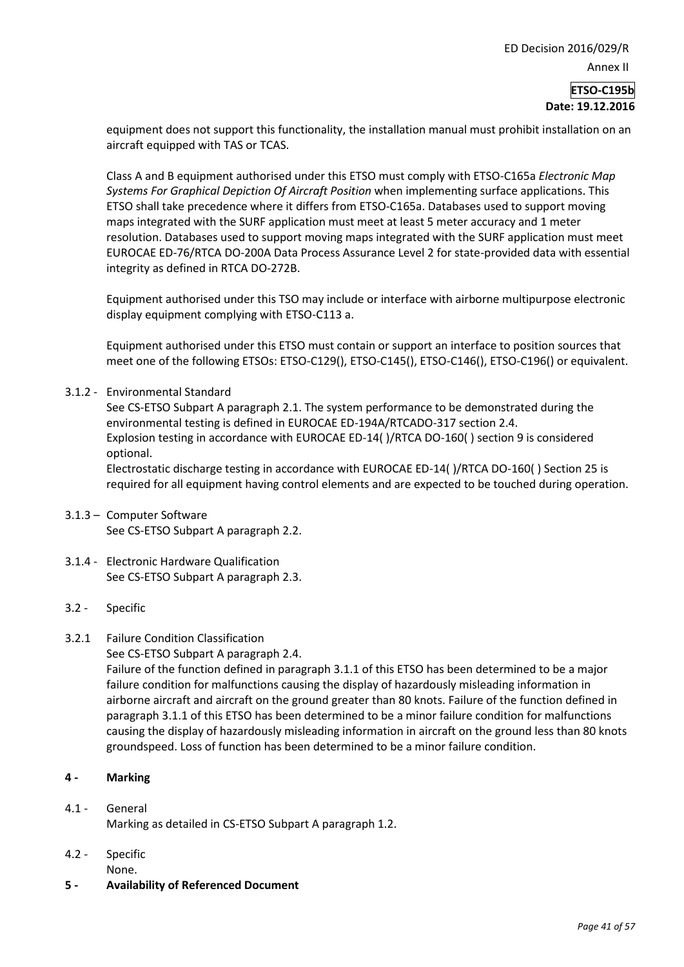## **Date: 19.12.2016**

equipment does not support this functionality, the installation manual must prohibit installation on an aircraft equipped with TAS or TCAS.

Class A and B equipment authorised under this ETSO must comply with ETSO-C165a *Electronic Map Systems For Graphical Depiction Of Aircraft Position* when implementing surface applications. This ETSO shall take precedence where it differs from ETSO-C165a. Databases used to support moving maps integrated with the SURF application must meet at least 5 meter accuracy and 1 meter resolution. Databases used to support moving maps integrated with the SURF application must meet EUROCAE ED-76/RTCA DO-200A Data Process Assurance Level 2 for state-provided data with essential integrity as defined in RTCA DO-272B.

Equipment authorised under this TSO may include or interface with airborne multipurpose electronic display equipment complying with ETSO-C113 a.

Equipment authorised under this ETSO must contain or support an interface to position sources that meet one of the following ETSOs: ETSO-C129(), ETSO-C145(), ETSO-C146(), ETSO-C196() or equivalent.

3.1.2 - Environmental Standard

See CS-ETSO Subpart A paragraph 2.1. The system performance to be demonstrated during the environmental testing is defined in EUROCAE ED-194A/RTCADO-317 section 2.4. Explosion testing in accordance with EUROCAE ED-14( )/RTCA DO-160( ) section 9 is considered optional.

Electrostatic discharge testing in accordance with EUROCAE ED-14( )/RTCA DO-160( ) Section 25 is required for all equipment having control elements and are expected to be touched during operation.

- 3.1.3 Computer Software See CS-ETSO Subpart A paragraph 2.2.
- 3.1.4 Electronic Hardware Qualification See CS-ETSO Subpart A paragraph 2.3.
- 3.2 Specific
- 3.2.1 Failure Condition Classification
	- See CS-ETSO Subpart A paragraph 2.4.

Failure of the function defined in paragraph 3.1.1 of this ETSO has been determined to be a major failure condition for malfunctions causing the display of hazardously misleading information in airborne aircraft and aircraft on the ground greater than 80 knots. Failure of the function defined in paragraph 3.1.1 of this ETSO has been determined to be a minor failure condition for malfunctions causing the display of hazardously misleading information in aircraft on the ground less than 80 knots groundspeed. Loss of function has been determined to be a minor failure condition.

## **4 - Marking**

- 4.1 General Marking as detailed in CS-ETSO Subpart A paragraph 1.2.
- 4.2 Specific
- None.
- **5 - Availability of Referenced Document**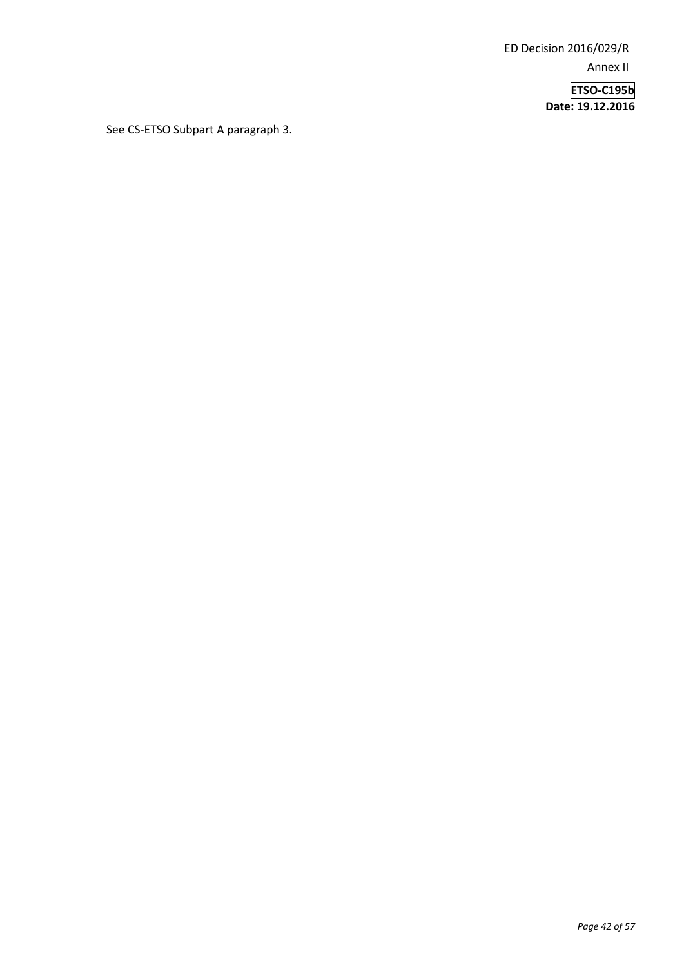ED Decision 2016/029/R Annex II

> **ETSO-C195b Date: 19.12.2016**

See CS-ETSO Subpart A paragraph 3.